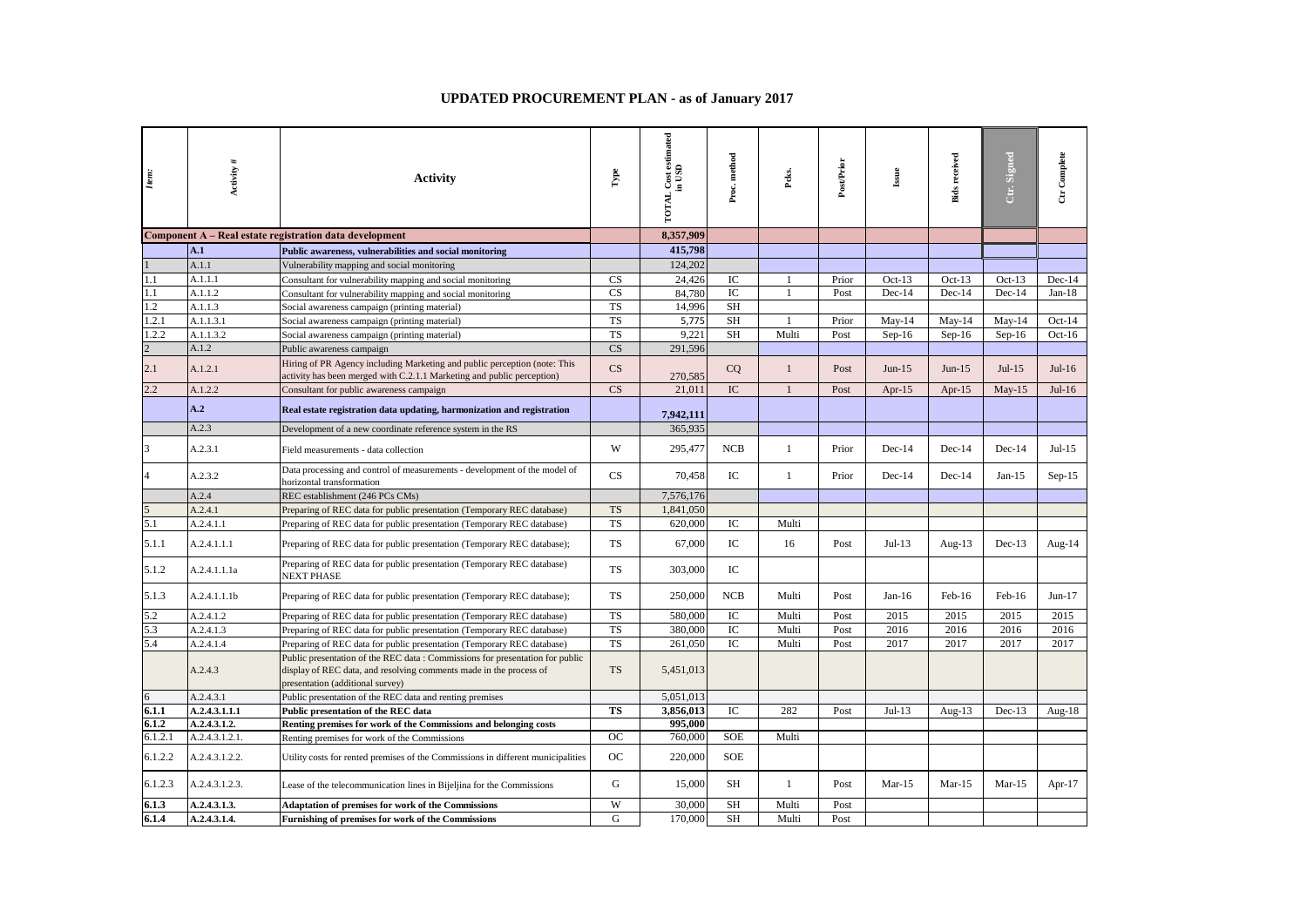## **UPDATED PROCUREMENT PLAN - as of January 2017**

| Item:          | Activity #     | <b>Activity</b>                                                                                                                                                                         | $\Gamma$               | <b>TOTAL Cost estimated</b><br>in USD | Proc. method | Peks.          | Post/Prior | Issue     | <b>Bids</b> received | Ctr. Signed | Ctr Complete |
|----------------|----------------|-----------------------------------------------------------------------------------------------------------------------------------------------------------------------------------------|------------------------|---------------------------------------|--------------|----------------|------------|-----------|----------------------|-------------|--------------|
|                |                | Component A - Real estate registration data development                                                                                                                                 |                        | 8.357.909                             |              |                |            |           |                      |             |              |
|                | A.1            | Public awareness, vulnerabilities and social monitoring                                                                                                                                 |                        | 415,798                               |              |                |            |           |                      |             |              |
|                | A.1.1          | Vulnerability mapping and social monitoring                                                                                                                                             |                        | 124,202                               |              |                |            |           |                      |             |              |
| 1.1            | A.1.1.1        | Consultant for vulnerability mapping and social monitoring                                                                                                                              | <b>CS</b>              | 24,426                                | IC           |                | Prior      | Oct- $13$ | $Oct-13$             | $Oct-13$    | $Dec-14$     |
| 1.1            | A.1.1.2        | Consultant for vulnerability mapping and social monitoring                                                                                                                              | <b>CS</b>              | 84.780                                | IC           |                | Post       | Dec-14    | Dec-14               | $Dec-14$    | $Jan-18$     |
| 1.2            | A.1.1.3        | Social awareness campaign (printing material)                                                                                                                                           | <b>TS</b>              | 14,996                                | <b>SH</b>    |                |            |           |                      |             |              |
| 1.2.1          | A.1.1.3.1      | Social awareness campaign (printing material)                                                                                                                                           | <b>TS</b>              | 5,775                                 | SH           | $\overline{1}$ | Prior      | $May-14$  | $May-14$             | $May-14$    | $Oct-14$     |
| 1.2.2          | A.1.1.3.2      | Social awareness campaign (printing material)                                                                                                                                           | <b>TS</b>              | 9,221                                 | SH           | Multi          | Post       | $Sep-16$  | $Sep-16$             | $Sep-16$    | $Oct-16$     |
| $\overline{2}$ | A.1.2          | Public awareness campaign                                                                                                                                                               | $\overline{\text{CS}}$ | 291,596                               |              |                |            |           |                      |             |              |
| 2.1            | A.1.2.1        | Hiring of PR Agency including Marketing and public perception (note: This<br>activity has been merged with C.2.1.1 Marketing and public perception)                                     | CS                     | 270,585                               | CQ           | $\mathbf{1}$   | Post       | $Jun-15$  | $Jun-15$             | $Jul-15$    | Jul-16       |
| 2.2            | A.1.2.2        | Consultant for public awareness campaign                                                                                                                                                | CS                     | 21.011                                | IC           | $\mathbf{1}$   | Post       | Apr- $15$ | Apr- $15$            | $May-15$    | Jul-16       |
|                | A.2            | Real estate registration data updating, harmonization and registration                                                                                                                  |                        | 7,942,111                             |              |                |            |           |                      |             |              |
|                | A.2.3          | Development of a new coordinate reference system in the RS                                                                                                                              |                        | 365,935                               |              |                |            |           |                      |             |              |
| 3              | A.2.3.1        | Field measurements - data collection                                                                                                                                                    | W                      | 295,477                               | NCB          | $\mathbf{1}$   | Prior      | $Dec-14$  | $Dec-14$             | $Dec-14$    | $Jul-15$     |
|                | A.2.3.2        | Data processing and control of measurements - development of the model of<br>horizontal transformation                                                                                  | CS                     | 70,458                                | ${\rm IC}$   | $\mathbf{1}$   | Prior      | $Dec-14$  | $Dec-14$             | Jan- $15$   | $Sep-15$     |
|                | A.2.4          | REC establishment (246 PCs CMs)                                                                                                                                                         |                        | 7,576,176                             |              |                |            |           |                      |             |              |
|                | A.2.4.1        | Preparing of REC data for public presentation (Temporary REC database)                                                                                                                  | <b>TS</b>              | 1,841,050                             |              |                |            |           |                      |             |              |
| 5.1            | A.2.4.1.1      | Preparing of REC data for public presentation (Temporary REC database)                                                                                                                  | <b>TS</b>              | 620,000                               | $_{\rm IC}$  | Multi          |            |           |                      |             |              |
| 5.1.1          | A.2.4.1.1.1    | Preparing of REC data for public presentation (Temporary REC database);                                                                                                                 | <b>TS</b>              | 67,000                                | IC           | 16             | Post       | $Jul-13$  | Aug- $13$            | $Dec-13$    | Aug- $14$    |
| 5.1.2          | A.2.4.1.1.1a   | Preparing of REC data for public presentation (Temporary REC database)<br>NEXT PHASE                                                                                                    | <b>TS</b>              | 303,000                               | IC           |                |            |           |                      |             |              |
| 5.1.3          | A.2.4.1.1.1b   | Preparing of REC data for public presentation (Temporary REC database);                                                                                                                 | TS                     | 250,000                               | <b>NCB</b>   | Multi          | Post       | $Jan-16$  | Feb-16               | Feb-16      | $Jun-17$     |
| 5.2            | A.2.4.1.2      | Preparing of REC data for public presentation (Temporary REC database)                                                                                                                  | <b>TS</b>              | 580,000                               | IC           | Multi          | Post       | 2015      | 2015                 | 2015        | 2015         |
| 5.3            | A.2.4.1.3      | Preparing of REC data for public presentation (Temporary REC database)                                                                                                                  | <b>TS</b>              | 380,000                               | $\rm{IC}$    | Multi          | Post       | 2016      | 2016                 | 2016        | 2016         |
| 5.4            | A.2.4.1.4      | Preparing of REC data for public presentation (Temporary REC database)                                                                                                                  | <b>TS</b>              | 261,050                               | IC           | Multi          | Post       | 2017      | 2017                 | 2017        | 2017         |
|                | A.2.4.3        | Public presentation of the REC data : Commissions for presentation for public<br>display of REC data, and resolving comments made in the process of<br>presentation (additional survey) | <b>TS</b>              | 5,451,013                             |              |                |            |           |                      |             |              |
| 6              | A.2.4.3.1      | Public presentation of the REC data and renting premises                                                                                                                                |                        | 5,051,013                             |              |                |            |           |                      |             |              |
| 6.1.1          | A.2.4.3.1.1.1  | Public presentation of the REC data                                                                                                                                                     | <b>TS</b>              | 3,856,013                             | $\rm{IC}$    | 282            | Post       | $Jul-13$  | Aug- $13$            | Dec-13      | Aug-18       |
| 6.1.2          | A.2.4.3.1.2.   | Renting premises for work of the Commissions and belonging costs                                                                                                                        |                        | 995,000                               |              |                |            |           |                      |             |              |
| 6.1.2.1        | A.2.4.3.1.2.1. | Renting premises for work of the Commissions                                                                                                                                            | OC                     | 760,000                               | <b>SOE</b>   | Multi          |            |           |                      |             |              |
| 6.1.2.2        | A.2.4.3.1.2.2. | Utility costs for rented premises of the Commissions in different municipalities                                                                                                        | OC                     | 220,000                               | <b>SOE</b>   |                |            |           |                      |             |              |
| 6.1.2.3        | A.2.4.3.1.2.3. | Lease of the telecommunication lines in Bijeljina for the Commissions                                                                                                                   | G                      | 15,000                                | <b>SH</b>    | 1              | Post       | $Mar-15$  | $Mar-15$             | $Mar-15$    | Apr- $17$    |
| 6.1.3          | A.2.4.3.1.3.   | <b>Adaptation of premises for work of the Commissions</b>                                                                                                                               | W                      | 30,000                                | <b>SH</b>    | Multi          | Post       |           |                      |             |              |
| 6.1.4          | A.2.4.3.1.4.   | Furnishing of premises for work of the Commissions                                                                                                                                      | G                      | 170,000                               | <b>SH</b>    | Multi          | Post       |           |                      |             |              |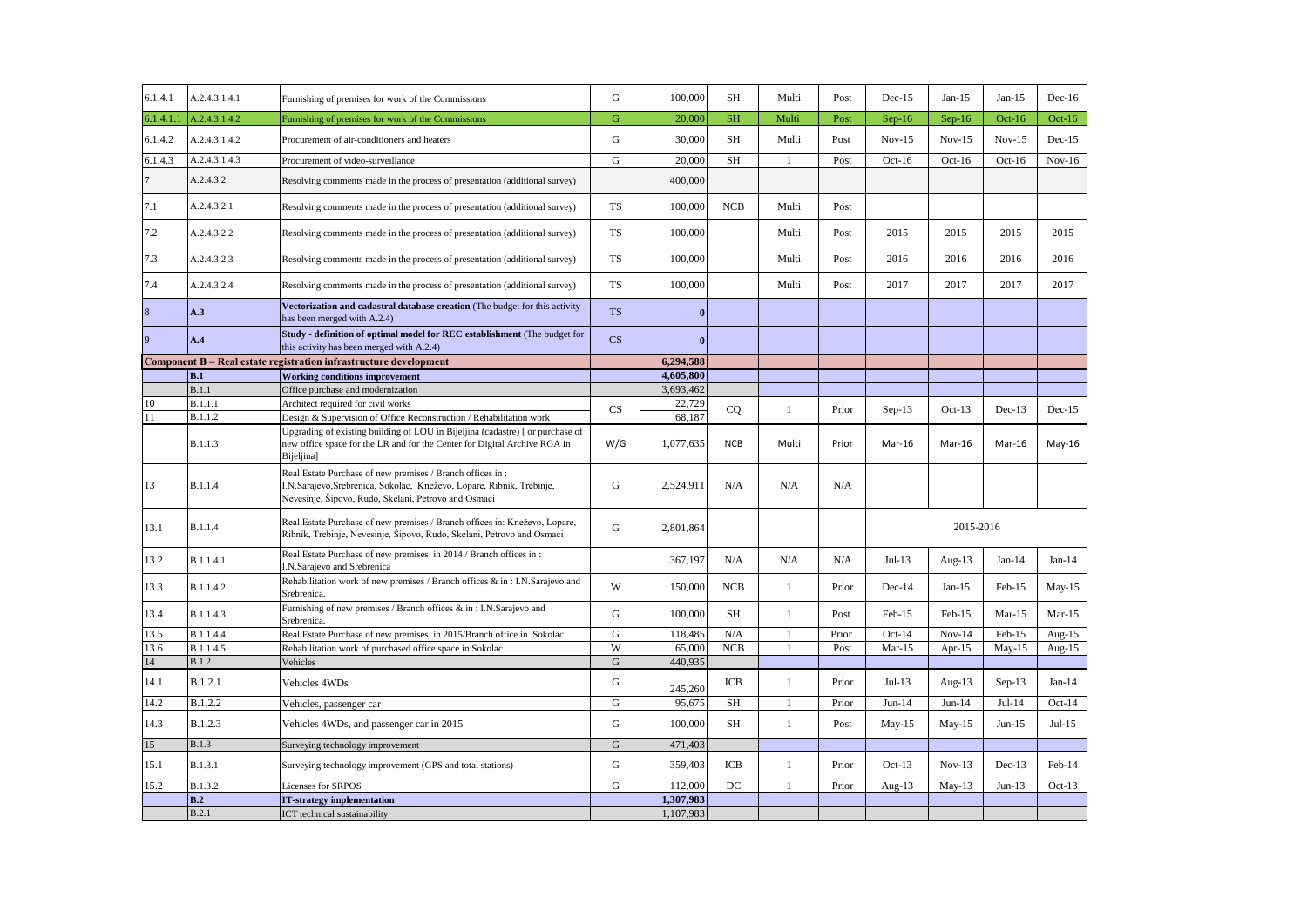| 6.1.4.1   | A.2.4.3.1.4.1  | Furnishing of premises for work of the Commissions                                                                                                                                         | G                      | 100,000   | <b>SH</b>  | Multi          | Post  | $Dec-15$  | $Jan-15$  | $Jan-15$ | $Dec-16$  |
|-----------|----------------|--------------------------------------------------------------------------------------------------------------------------------------------------------------------------------------------|------------------------|-----------|------------|----------------|-------|-----------|-----------|----------|-----------|
| 6.1.4.1.1 | A.2.4.3.1.4.2  | Furnishing of premises for work of the Commissions                                                                                                                                         | G                      | 20,000    | <b>SH</b>  | Multi          | Post  | $Sep-16$  | $Sep-16$  | $Oct-16$ | $Oct-16$  |
| 6.1.4.2   | A.2.4.3.1.4.2  | Procurement of air-conditioners and heaters                                                                                                                                                | G                      | 30,000    | <b>SH</b>  | Multi          | Post  | $Nov-15$  | $Nov-15$  | $Nov-15$ | $Dec-15$  |
| 6.1.4.3   | A.2.4.3.1.4.3  | Procurement of video-surveillance                                                                                                                                                          | G                      | 20,000    | <b>SH</b>  | $\mathbf{1}$   | Post  | $Oct-16$  | $Oct-16$  | $Oct-16$ | $Nov-16$  |
|           | A.2.4.3.2      | Resolving comments made in the process of presentation (additional survey)                                                                                                                 |                        | 400,000   |            |                |       |           |           |          |           |
| 7.1       | A.2.4.3.2.1    | Resolving comments made in the process of presentation (additional survey)                                                                                                                 | <b>TS</b>              | 100,000   | <b>NCB</b> | Multi          | Post  |           |           |          |           |
| 7.2       | A.2.4.3.2.2    | Resolving comments made in the process of presentation (additional survey)                                                                                                                 | TS                     | 100,000   |            | Multi          | Post  | 2015      | 2015      | 2015     | 2015      |
| 7.3       | A.2.4.3.2.3    | Resolving comments made in the process of presentation (additional survey)                                                                                                                 | <b>TS</b>              | 100,000   |            | Multi          | Post  | 2016      | 2016      | 2016     | 2016      |
| 7.4       | A.2.4.3.2.4    | Resolving comments made in the process of presentation (additional survey)                                                                                                                 | TS                     | 100,000   |            | Multi          | Post  | 2017      | 2017      | 2017     | 2017      |
| 8         | A.3            | Vectorization and cadastral database creation (The budget for this activity<br>has been merged with A.2.4)                                                                                 | <b>TS</b>              | $\bf{0}$  |            |                |       |           |           |          |           |
| 9         | A.4            | Study - definition of optimal model for REC establishment (The budget for<br>this activity has been merged with A.2.4)                                                                     | $\overline{\text{CS}}$ | $\bf{0}$  |            |                |       |           |           |          |           |
|           |                | Component B - Real estate registration infrastructure development                                                                                                                          |                        | 6,294,588 |            |                |       |           |           |          |           |
|           | B.1            | <b>Working conditions improvement</b>                                                                                                                                                      |                        | 4,605,800 |            |                |       |           |           |          |           |
|           | B.1.1          | Office purchase and modernization                                                                                                                                                          |                        | 3,693,462 |            |                |       |           |           |          |           |
| 10        | <b>B.1.1.1</b> | Architect required for civil works                                                                                                                                                         | CS                     | 22,729    | CQ         | $\mathbf{1}$   | Prior | $Sep-13$  | $Oct-13$  | $Dec-13$ | $Dec-15$  |
| 11        | B.1.1.2        | Design & Supervision of Office Reconstruction / Rehabilitation work                                                                                                                        |                        | 68.187    |            |                |       |           |           |          |           |
|           | <b>B.1.1.3</b> | Upgrading of existing building of LOU in Bijeljina (cadastre) [ or purchase of<br>new office space for the LR and for the Center for Digital Archive RGA in<br>Bijeljina]                  | W/G                    | 1,077,635 | <b>NCB</b> | Multi          | Prior | Mar-16    | Mar-16    | Mar-16   | $May-16$  |
| 13        | <b>B.1.1.4</b> | Real Estate Purchase of new premises / Branch offices in:<br>I.N.Sarajevo, Srebrenica, Sokolac, Kneževo, Lopare, Ribnik, Trebinje,<br>Nevesinje, Šipovo, Rudo, Skelani, Petrovo and Osmaci | G                      | 2,524,911 | N/A        | N/A            | N/A   |           |           |          |           |
| 13.1      | <b>B.1.1.4</b> | Real Estate Purchase of new premises / Branch offices in: Kneževo, Lopare,<br>Ribnik, Trebinje, Nevesinje, Šipovo, Rudo, Skelani, Petrovo and Osmaci                                       | G                      | 2,801,864 |            |                |       | 2015-2016 |           |          |           |
| 13.2      | B.1.1.4.1      | Real Estate Purchase of new premises in 2014 / Branch offices in:<br>I.N.Sarajevo and Srebrenica                                                                                           |                        | 367,197   | N/A        | N/A            | N/A   | $Jul-13$  | Aug-13    | $Jan-14$ | $Jan-14$  |
| 13.3      | B.1.1.4.2      | Rehabilitation work of new premises / Branch offices & in : I.N.Sarajevo and<br>Srebrenica.                                                                                                | W                      | 150,000   | <b>NCB</b> | $\mathbf{1}$   | Prior | Dec-14    | $Jan-15$  | $Feb-15$ | $May-15$  |
| 13.4      | B.1.1.4.3      | Furnishing of new premises / Branch offices & in: I.N.Sarajevo and<br>Srebrenica.                                                                                                          | $\mathbf G$            | 100,000   | SH         | $\mathbf{1}$   | Post  | Feb-15    | Feb-15    | $Mar-15$ | $Mar-15$  |
| 13.5      | B.1.1.4.4      | Real Estate Purchase of new premises in 2015/Branch office in Sokolac                                                                                                                      | G                      | 118,485   | N/A        | $\mathbf{1}$   | Prior | $Oct-14$  | $Nov-14$  | Feb-15   | Aug- $15$ |
| 13.6      | B.1.1.4.5      | Rehabilitation work of purchased office space in Sokolac                                                                                                                                   | W                      | 65,000    | NCB        | $\overline{1}$ | Post  | $Mar-15$  | Apr-15    | $May-15$ | Aug- $15$ |
| 14        | <b>B.1.2</b>   | Vehicles                                                                                                                                                                                   | $\mathbf G$            | 440.935   |            |                |       |           |           |          |           |
| 14.1      | B.1.2.1        | Vehicles 4WDs                                                                                                                                                                              | G                      | 245,260   | ICB        | $\mathbf{1}$   | Prior | $Jul-13$  | Aug- $13$ | $Sep-13$ | $Jan-14$  |
| 14.2      | B.1.2.2        | Vehicles, passenger car                                                                                                                                                                    | G                      | 95,675    | <b>SH</b>  | $\mathbf{1}$   | Prior | $Jun-14$  | $Jun-14$  | $Jul-14$ | $Oct-14$  |
| 14.3      | B.1.2.3        | Vehicles 4WDs, and passenger car in 2015                                                                                                                                                   | G                      | 100,000   | SH         | $\mathbf{1}$   | Post  | $May-15$  | $May-15$  | $Jun-15$ | $Jul-15$  |
| 15        | <b>B.1.3</b>   | Surveying technology improvement                                                                                                                                                           | G                      | 471,403   |            |                |       |           |           |          |           |
| 15.1      | B.1.3.1        | Surveying technology improvement (GPS and total stations)                                                                                                                                  | G                      | 359,403   | ICB        | 1              | Prior | $Oct-13$  | $Nov-13$  | $Dec-13$ | Feb-14    |
| 15.2      | B.1.3.2        | Licenses for SRPOS                                                                                                                                                                         | G                      | 112,000   | DC         | $\mathbf{1}$   | Prior | Aug- $13$ | $May-13$  | $Jun-13$ | $Oct-13$  |
|           | B.2            | <b>IT-strategy implementation</b>                                                                                                                                                          |                        | 1,307,983 |            |                |       |           |           |          |           |
|           | B.2.1          | ICT technical sustainability                                                                                                                                                               |                        | 1,107,983 |            |                |       |           |           |          |           |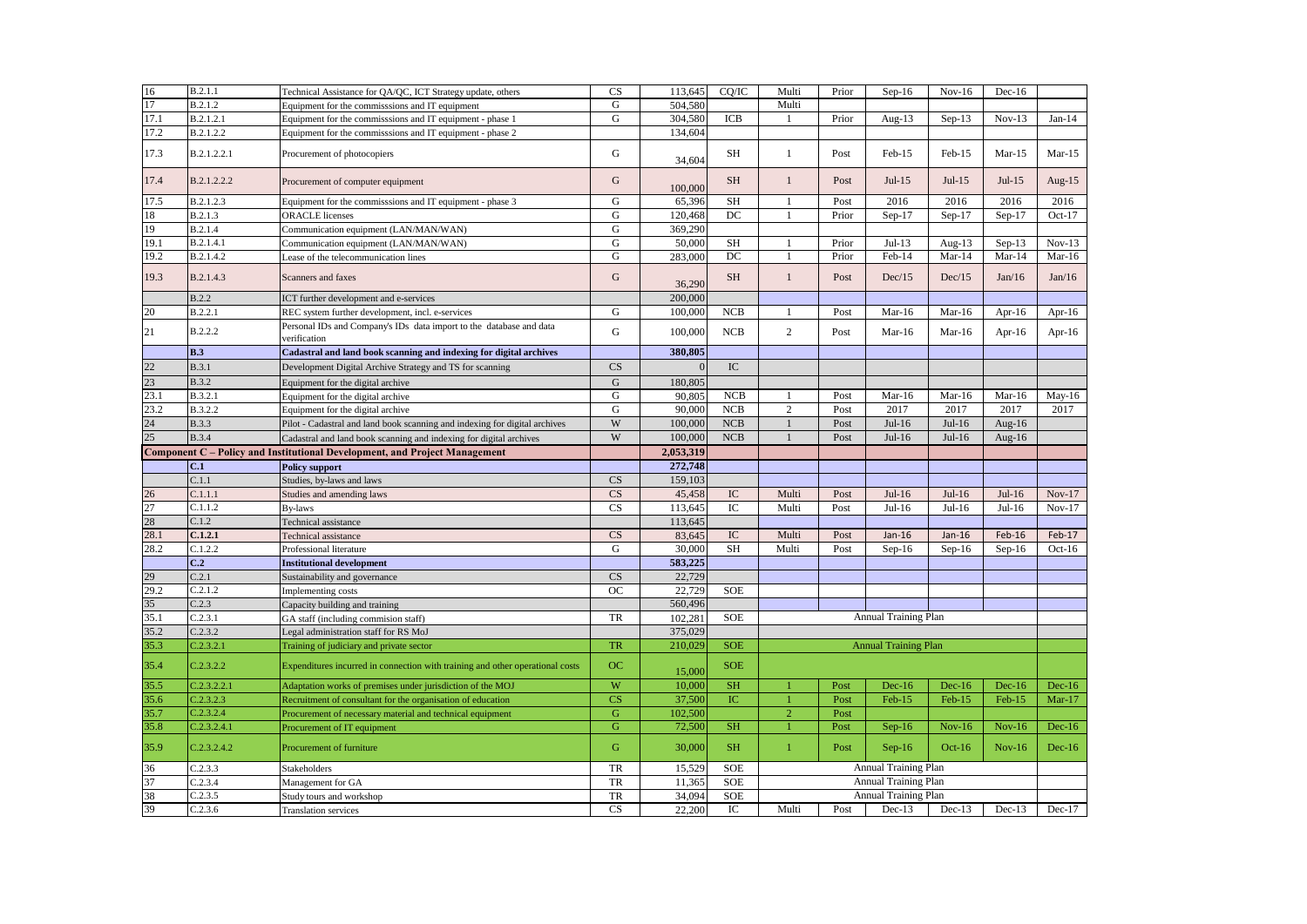| 16       | B.2.1.1            | Technical Assistance for QA/QC, ICT Strategy update, others                         | CS                     | 113,645          | CQ/IC            | Multi          | Prior | $Sep-16$                    | $Nov-16$  | $Dec-16$  |           |
|----------|--------------------|-------------------------------------------------------------------------------------|------------------------|------------------|------------------|----------------|-------|-----------------------------|-----------|-----------|-----------|
| 17       | B.2.1.2            | Equipment for the commisssions and IT equipment                                     | G                      | 504,580          |                  | Multi          |       |                             |           |           |           |
| 17.1     | <b>B.2.1.2.1</b>   | Equipment for the commisssions and IT equipment - phase 1                           | G                      | 304,580          | ICB              | $\mathbf{1}$   | Prior | Aug-13                      | $Sep-13$  | $Nov-13$  | $Jan-14$  |
| 17.2     | B.2.1.2.2          | Equipment for the commisssions and IT equipment - phase 2                           |                        | 134,604          |                  |                |       |                             |           |           |           |
| 17.3     | B.2.1.2.2.1        | Procurement of photocopiers                                                         | G                      | 34,604           | SH               | 1              | Post  | $Feb-15$                    | Feb-15    | $Mar-15$  | $Mar-15$  |
| 17.4     | B.2.1.2.2.2        | Procurement of computer equipment                                                   | G                      | 100,000          | <b>SH</b>        | $\mathbf{1}$   | Post  | $Jul-15$                    | $Jul-15$  | $Jul-15$  | Aug- $15$ |
| 17.5     | B.2.1.2.3          | Equipment for the commisssions and IT equipment - phase 3                           | G                      | 65,396           | <b>SH</b>        | $\mathbf{1}$   | Post  | 2016                        | 2016      | 2016      | 2016      |
| 18       | B.2.1.3            | <b>ORACLE</b> licenses                                                              | $\mathbf G$            | 120,468          | DC               | $\mathbf{1}$   | Prior | $Sep-17$                    | Sep-17    | $Sep-17$  | Oct- $17$ |
| 19       | B.2.1.4            | Communication equipment (LAN/MAN/WAN)                                               | G                      | 369,290          |                  |                |       |                             |           |           |           |
| 19.1     | B.2.1.4.1          | Communication equipment (LAN/MAN/WAN)                                               | G                      | 50,000           | <b>SH</b>        | $\mathbf{1}$   | Prior | $Jul-13$                    | Aug- $13$ | $Sep-13$  | $Nov-13$  |
| 19.2     | B.2.1.4.2          | Lease of the telecommunication lines                                                | G                      | 283,000          | DC               | $\mathbf{1}$   | Prior | Feb-14                      | $Mar-14$  | $Mar-14$  | $Mar-16$  |
| 19.3     | B.2.1.4.3          | Scanners and faxes                                                                  | G                      | 36,290           | <b>SH</b>        | $\overline{1}$ | Post  | Dec/15                      | Dec/15    | Jan/16    | Jan/16    |
|          | <b>B.2.2</b>       | ICT further development and e-services                                              |                        | 200,000          |                  |                |       |                             |           |           |           |
| 20       | B.2.2.1            | REC system further development, incl. e-services                                    | G                      | 100,000          | <b>NCB</b>       | 1              | Post  | $Mar-16$                    | Mar-16    | Apr- $16$ | Apr- $16$ |
| 21       | B.2.2.2            | Personal IDs and Company's IDs data import to the database and data<br>verification | G                      | 100,000          | <b>NCB</b>       | 2              | Post  | $Mar-16$                    | $Mar-16$  | Apr- $16$ | Apr-16    |
|          | <b>B.3</b>         | Cadastral and land book scanning and indexing for digital archives                  |                        | 380,805          |                  |                |       |                             |           |           |           |
| 22       | <b>B.3.1</b>       | Development Digital Archive Strategy and TS for scanning                            | CS                     | $\Omega$         | IC               |                |       |                             |           |           |           |
| 23       | <b>B.3.2</b>       | Equipment for the digital archive                                                   | G                      | 180,805          |                  |                |       |                             |           |           |           |
| 23.1     | B.3.2.1            | Equipment for the digital archive                                                   | G                      | 90.805           | NCB              | $\overline{1}$ | Post  | $Mar-16$                    | $Mar-16$  | $Mar-16$  | $May-16$  |
| 23.2     | B.3.2.2            | Equipment for the digital archive                                                   | G                      | 90,000           | NCB              | $\overline{2}$ | Post  | 2017                        | 2017      | 2017      | 2017      |
| 24       | <b>B.3.3</b>       | Pilot - Cadastral and land book scanning and indexing for digital archives          | W                      | 100,000          | NCB              | $\mathbf{1}$   | Post  | $Jul-16$                    | $Jul-16$  | Aug- $16$ |           |
| 25       | <b>B.3.4</b>       | Cadastral and land book scanning and indexing for digital archives                  | W                      | 100,000          | NCB              | $\mathbf{1}$   | Post  | $Jul-16$                    | $Jul-16$  | Aug- $16$ |           |
|          |                    | <b>Component C</b> – Policy and Institutional Development, and Project Management   |                        | 2,053,319        |                  |                |       |                             |           |           |           |
|          | C.1                |                                                                                     |                        |                  |                  |                |       |                             |           |           |           |
|          |                    | <b>Policy support</b>                                                               |                        | 272,748          |                  |                |       |                             |           |           |           |
|          | C.1.1              | Studies, by-laws and laws                                                           | CS                     | 159,103          |                  |                |       |                             |           |           |           |
| 26       | C.1.1.1            | Studies and amending laws                                                           | CS                     | 45,458           | IC               | Multi          | Post  | $Jul-16$                    | $Jul-16$  | $Jul-16$  | $Nov-17$  |
| 27       | C.1.1.2            | By-laws                                                                             | CS                     | 113,645          | $\rm{IC}$        | Multi          | Post  | $Jul-16$                    | $Jul-16$  | $Jul-16$  | $Nov-17$  |
| 28       | C.1.2              | Technical assistance                                                                |                        | 113,645          |                  |                |       |                             |           |           |           |
| 28.1     | C.1.2.1            | Technical assistance                                                                | CS                     | 83,645           | IC               | Multi          | Post  | $Jan-16$                    | $Jan-16$  | Feb-16    | Feb-17    |
| 28.2     | C.1.2.2            | Professional literature                                                             | $\mathbf G$            | 30,000           | SH               | Multi          | Post  | $Sep-16$                    | $Sep-16$  | $Sep-16$  | $Oct-16$  |
|          | C <sub>2</sub>     | <b>Institutional development</b>                                                    |                        | 583,225          |                  |                |       |                             |           |           |           |
| 29       | C.2.1              | Sustainability and governance                                                       | <b>CS</b>              | 22,729           |                  |                |       |                             |           |           |           |
| 29.2     | C.2.1.2            | Implementing costs                                                                  | OC                     | 22,729           | <b>SOE</b>       |                |       |                             |           |           |           |
| 35       | C.2.3              | Capacity building and training                                                      |                        | 560,496          |                  |                |       |                             |           |           |           |
| 35.1     | C.2.3.1            | GA staff (including commision staff)                                                | TR                     | 102,281          | <b>SOE</b>       |                |       | <b>Annual Training Plan</b> |           |           |           |
| 35.2     | C.2.3.2            | Legal administration staff for RS MoJ                                               |                        | 375,029          |                  |                |       |                             |           |           |           |
| 35.3     | C.2.3.2.1          | Training of judiciary and private sector                                            | <b>TR</b>              | 210,029          | <b>SOE</b>       |                |       | <b>Annual Training Plan</b> |           |           |           |
| 35.4     | C.2.3.2.2          | Expenditures incurred in connection with training and other operational costs       | <b>OC</b>              | 15,000           | <b>SOE</b>       |                |       |                             |           |           |           |
| 35.5     | C.2.3.2.2.1        | Adaptation works of premises under jurisdiction of the MOJ                          | W                      | 10,000           | <b>SH</b>        |                | Post  | $Dec-16$                    | $Dec-16$  | $Dec-16$  | $Dec-16$  |
| 35.6     | C.2.3.2.3          | Recruitment of consultant for the organisation of education                         | $\overline{\text{CS}}$ | 37,500           | IC               | $\overline{1}$ | Post  | $Feb-15$                    | $Feb-15$  | $Feb-15$  | $Mar-17$  |
| 35.7     | C.2.3.2.4          | Procurement of necessary material and technical equipment                           | $\mathbf G$            | 102,500          |                  | $\overline{2}$ | Post  |                             |           |           |           |
| 35.8     | C.2.3.2.4.1        | Procurement of IT equipment                                                         | G                      | 72,500           | <b>SH</b>        | $\mathbf{1}$   | Post  | $Sep-16$                    | $Nov-16$  | $Nov-16$  | $Dec-16$  |
| 35.9     | C.2.3.2.4.2        | Procurement of furniture                                                            | G                      | 30,000           | <b>SH</b>        | $\mathbf{1}$   | Post  | $Sep-16$                    | $Oct-16$  | $Nov-16$  | $Dec-16$  |
| 36       | C.2.3.3            | Stakeholders                                                                        | <b>TR</b>              | 15,529           | <b>SOE</b>       |                |       | Annual Training Plan        |           |           |           |
| 37       | C.2.3.4            | Management for GA                                                                   | TR                     | 11,365           | <b>SOE</b>       |                |       | <b>Annual Training Plan</b> |           |           |           |
| 38<br>39 | C.2.3.5<br>C.2.3.6 | Study tours and workshop                                                            | <b>TR</b><br>CS        | 34,094<br>22,200 | <b>SOE</b><br>IC |                |       | <b>Annual Training Plan</b> | $Dec-13$  | $Dec-13$  |           |